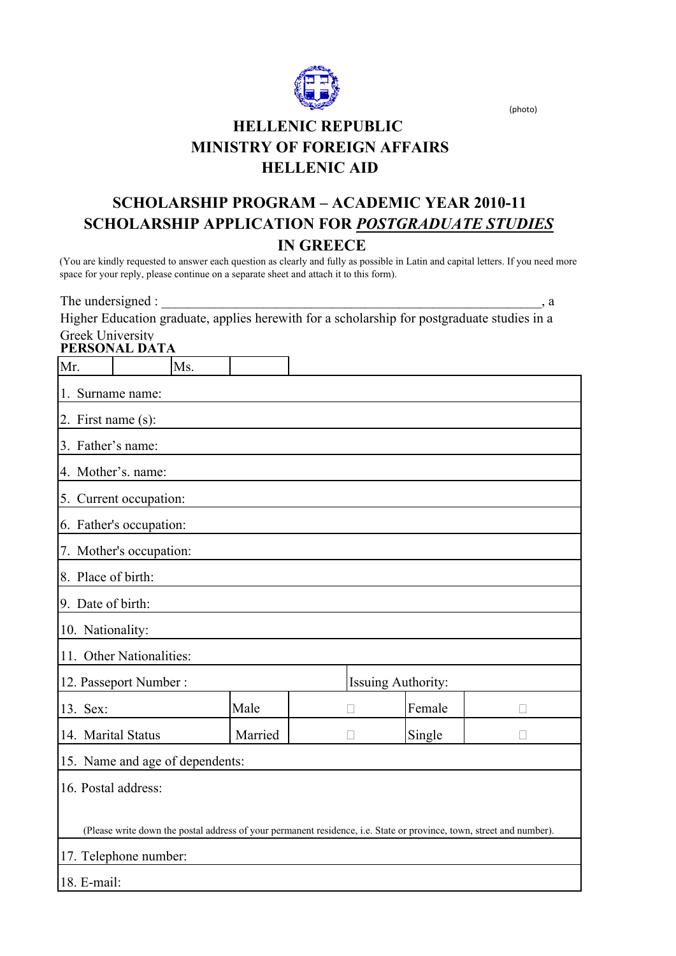

(photo)

# **HELLENIC REPUBLIC MINISTRY OF FOREIGN AFFAIRS HELLENIC AID**

## **SCHOLARSHIP PROGRAM – ACADEMIC YEAR 2010-11 IN GREECE SCHOLARSHIP APPLICATION FOR** *POSTGRADUATE STUDIES*

(You are kindly requested to answer each question as clearly and fully as possible in Latin and capital letters. If you need more space for your reply, please continue on a separate sheet and attach it to this form).

The undersigned : \_\_\_\_\_\_\_\_\_\_\_\_\_\_\_\_\_\_\_\_\_\_\_\_\_\_\_\_\_\_\_\_\_\_\_\_\_\_\_\_\_\_\_\_\_\_\_\_\_\_\_\_\_\_\_\_, a Higher Education graduate, applies herewith for a scholarship for postgraduate studies in a Greek University

### **PERSONAL DATA**

| Mr.                                                                                                                  |  | Ms. |         |                           |  |        |  |  |
|----------------------------------------------------------------------------------------------------------------------|--|-----|---------|---------------------------|--|--------|--|--|
| 1. Surname name:                                                                                                     |  |     |         |                           |  |        |  |  |
| 2. First name $(s)$ :                                                                                                |  |     |         |                           |  |        |  |  |
| 3. Father's name:                                                                                                    |  |     |         |                           |  |        |  |  |
| 4. Mother's. name:                                                                                                   |  |     |         |                           |  |        |  |  |
| 5. Current occupation:                                                                                               |  |     |         |                           |  |        |  |  |
| 6. Father's occupation:                                                                                              |  |     |         |                           |  |        |  |  |
| 7. Mother's occupation:                                                                                              |  |     |         |                           |  |        |  |  |
| 8. Place of birth:                                                                                                   |  |     |         |                           |  |        |  |  |
| 9. Date of birth:                                                                                                    |  |     |         |                           |  |        |  |  |
| 10. Nationality:                                                                                                     |  |     |         |                           |  |        |  |  |
| 11. Other Nationalities:                                                                                             |  |     |         |                           |  |        |  |  |
| 12. Passeport Number:                                                                                                |  |     |         | <b>Issuing Authority:</b> |  |        |  |  |
| 13. Sex:                                                                                                             |  |     | Male    |                           |  | Female |  |  |
| 14. Marital Status                                                                                                   |  |     | Married |                           |  | Single |  |  |
| 15. Name and age of dependents:                                                                                      |  |     |         |                           |  |        |  |  |
| 16. Postal address:                                                                                                  |  |     |         |                           |  |        |  |  |
|                                                                                                                      |  |     |         |                           |  |        |  |  |
| (Please write down the postal address of your permanent residence, i.e. State or province, town, street and number). |  |     |         |                           |  |        |  |  |
| 17. Telephone number:                                                                                                |  |     |         |                           |  |        |  |  |
| 18. E-mail:                                                                                                          |  |     |         |                           |  |        |  |  |